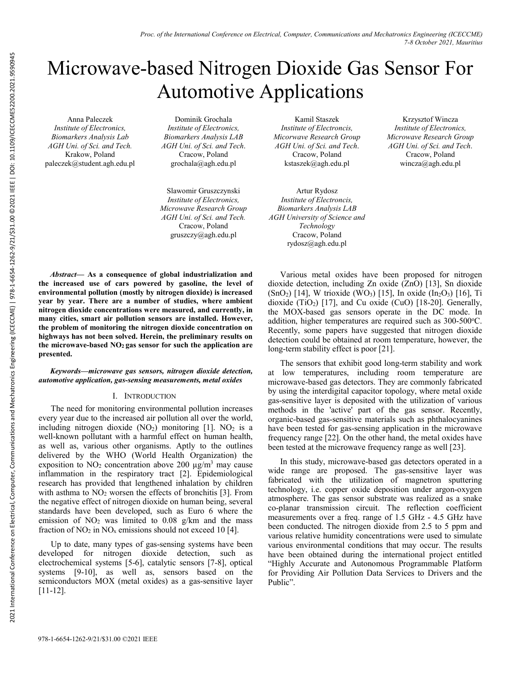# Microwave-based Nitrogen Dioxide Gas Sensor For Automotive Applications

Anna Paleczek *Institute of Electronics, Biomarkers Analysis Lab AGH Uni. of Sci. and Tech.*  Krakow, Poland paleczek@student.agh.edu.pl

Dominik Grochala *Institute of Electronics, Biomarkers Analysis LAB AGH Uni. of Sci. and Tech*. Cracow, Poland grochala@agh.edu.pl

Slawomir Gruszczynski *Institute of Electronics, Microwave Research Group AGH Uni. of Sci. and Tech.*  Cracow, Poland gruszczy@agh.edu.pl

Kamil Staszek *Institute of Electroncis, Micorwave Research Group AGH Uni. of Sci. and Tech*. Cracow, Poland kstaszek@agh.edu.pl

Krzysztof Wincza *Institute of Electronics, Microwave Research Group AGH Uni. of Sci. and Tech*. Cracow, Poland wincza@agh.edu.pl

Artur Rydosz *Institute of Electroncis, Biomarkers Analysis LAB AGH University of Science and Technology*  Cracow, Poland rydosz@agh.edu.pl

*Abstract***— As a consequence of global industrialization and the increased use of cars powered by gasoline, the level of environmental pollution (mostly by nitrogen dioxide) is increased year by year. There are a number of studies, where ambient nitrogen dioxide concentrations were measured, and currently, in many cities, smart air pollution sensors are installed. However, the problem of monitoring the nitrogen dioxide concentration on highways has not been solved. Herein, the preliminary results on the microwave-based NO2 gas sensor for such the application are presented.** 

## *Keywords—microwave gas sensors, nitrogen dioxide detection, automotive application, gas-sensing measurements, metal oxides*

## I. INTRODUCTION

The need for monitoring environmental pollution increases every year due to the increased air pollution all over the world, including nitrogen dioxide  $(NO<sub>2</sub>)$  monitoring [1]. NO<sub>2</sub> is a well-known pollutant with a harmful effect on human health, as well as, various other organisms. Aptly to the outlines delivered by the WHO (World Health Organization) the exposition to  $NO<sub>2</sub>$  concentration above 200  $\mu$ g/m<sup>3</sup> may cause inflammation in the respiratory tract [2]. Epidemiological research has provided that lengthened inhalation by children with asthma to  $NO<sub>2</sub>$  worsen the effects of bronchitis [3]. From the negative effect of nitrogen dioxide on human being, several standards have been developed, such as Euro 6 where the emission of  $NO<sub>2</sub>$  was limited to 0.08 g/km and the mass fraction of  $NO<sub>2</sub>$  in  $NO<sub>x</sub>$  emissions should not exceed 10 [4].

Up to date, many types of gas-sensing systems have been developed for nitrogen dioxide detection, such as electrochemical systems [5-6], catalytic sensors [7-8], optical systems [9-10], as well as, sensors based on the semiconductors MOX (metal oxides) as a gas-sensitive layer [11-12].

Various metal oxides have been proposed for nitrogen dioxide detection, including Zn oxide (ZnO) [13], Sn dioxide  $(SnO<sub>2</sub>)$  [14], W trioxide (WO<sub>3</sub>) [15], In oxide (In<sub>2</sub>O<sub>3</sub>) [16], Ti dioxide (TiO<sub>2</sub>) [17], and Cu oxide (CuO) [18-20]. Generally, the MOX-based gas sensors operate in the DC mode. In addition, higher temperatures are required such as  $300-500^{\circ}$ C. Recently, some papers have suggested that nitrogen dioxide detection could be obtained at room temperature, however, the long-term stability effect is poor [21].

The sensors that exhibit good long-term stability and work at low temperatures, including room temperature are microwave-based gas detectors. They are commonly fabricated by using the interdigital capacitor topology, where metal oxide gas-sensitive layer is deposited with the utilization of various methods in the 'active' part of the gas sensor. Recently, organic-based gas-sensitive materials such as phthalocyanines have been tested for gas-sensing application in the microwave frequency range [22]. On the other hand, the metal oxides have been tested at the microwave frequency range as well [23].

In this study, microwave-based gas detectors operated in a wide range are proposed. The gas-sensitive layer was fabricated with the utilization of magnetron sputtering technology, i.e. copper oxide deposition under argon-oxygen atmosphere. The gas sensor substrate was realized as a snake co-planar transmission circuit. The reflection coefficient measurements over a freq. range of 1.5 GHz - 4.5 GHz have been conducted. The nitrogen dioxide from 2.5 to 5 ppm and various relative humidity concentrations were used to simulate various environmental conditions that may occur. The results have been obtained during the international project entitled "Highly Accurate and Autonomous Programmable Platform for Providing Air Pollution Data Services to Drivers and the Public".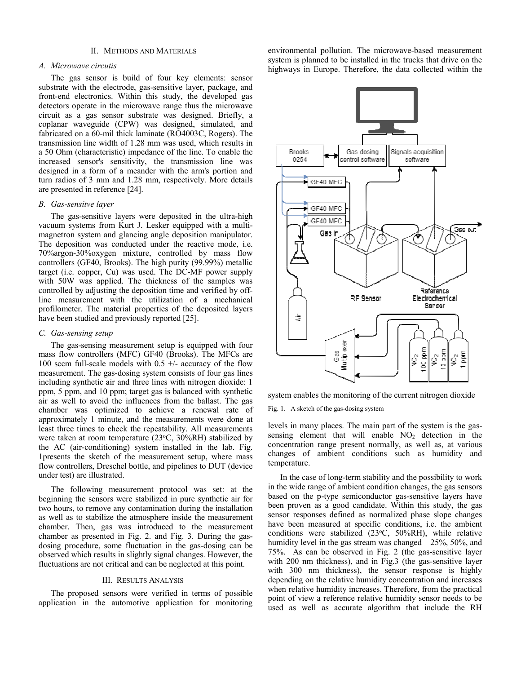#### II. METHODS AND MATERIALS

## *A. Microwave circutis*

The gas sensor is build of four key elements: sensor substrate with the electrode, gas-sensitive layer, package, and front-end electronics. Within this study, the developed gas detectors operate in the microwave range thus the microwave circuit as a gas sensor substrate was designed. Briefly, a coplanar waveguide (CPW) was designed, simulated, and fabricated on a 60-mil thick laminate (RO4003C, Rogers). The transmission line width of 1.28 mm was used, which results in a 50 Ohm (characteristic) impedance of the line. To enable the increased sensor's sensitivity, the transmission line was designed in a form of a meander with the arm's portion and turn radios of 3 mm and 1.28 mm, respectively. More details are presented in reference [24].

#### *B. Gas-sensitve layer*

The gas-sensitive layers were deposited in the ultra-high vacuum systems from Kurt J. Lesker equipped with a multimagnetron system and glancing angle deposition manipulator. The deposition was conducted under the reactive mode, i.e. 70%argon-30%oxygen mixture, controlled by mass flow controllers (GF40, Brooks). The high purity (99.99%) metallic target (i.e. copper, Cu) was used. The DC-MF power supply with 50W was applied. The thickness of the samples was controlled by adjusting the deposition time and verified by offline measurement with the utilization of a mechanical profilometer. The material properties of the deposited layers have been studied and previously reported [25].

## *C. Gas-sensing setup*

The gas-sensing measurement setup is equipped with four mass flow controllers (MFC) GF40 (Brooks). The MFCs are 100 sccm full-scale models with  $0.5 +/$ - accuracy of the flow measurement. The gas-dosing system consists of four gas lines including synthetic air and three lines with nitrogen dioxide: 1 ppm, 5 ppm, and 10 ppm; target gas is balanced with synthetic air as well to avoid the influences from the ballast. The gas chamber was optimized to achieve a renewal rate of approximately 1 minute, and the measurements were done at least three times to check the repeatability. All measurements were taken at room temperature  $(23\textdegree C, 30\textdegree B)$  stabilized by the AC (air-conditioning) system installed in the lab. Fig. 1presents the sketch of the measurement setup, where mass flow controllers, Dreschel bottle, and pipelines to DUT (device under test) are illustrated.

 The following measurement protocol was set: at the beginning the sensors were stabilized in pure synthetic air for two hours, to remove any contamination during the installation as well as to stabilize the atmosphere inside the measurement chamber. Then, gas was introduced to the measurement chamber as presented in Fig. 2. and Fig. 3. During the gasdosing procedure, some fluctuation in the gas-dosing can be observed which results in slightly signal changes. However, the fluctuations are not critical and can be neglected at this point.

#### III. RESULTS ANALYSIS

The proposed sensors were verified in terms of possible application in the automotive application for monitoring environmental pollution. The microwave-based measurement system is planned to be installed in the trucks that drive on the highways in Europe. Therefore, the data collected within the



system enables the monitoring of the current nitrogen dioxide

Fig. 1. A sketch of the gas-dosing system

levels in many places. The main part of the system is the gassensing element that will enable  $NO<sub>2</sub>$  detection in the concentration range present normally, as well as, at various changes of ambient conditions such as humidity and temperature.

In the case of long-term stability and the possibility to work in the wide range of ambient condition changes, the gas sensors based on the p-type semiconductor gas-sensitive layers have been proven as a good candidate. Within this study, the gas sensor responses defined as normalized phase slope changes have been measured at specific conditions, i.e. the ambient conditions were stabilized (23°C, 50%RH), while relative humidity level in the gas stream was changed – 25%, 50%, and 75%. As can be observed in Fig. 2 (the gas-sensitive layer with 200 nm thickness), and in Fig.3 (the gas-sensitive layer with 300 nm thickness), the sensor response is highly depending on the relative humidity concentration and increases when relative humidity increases. Therefore, from the practical point of view a reference relative humidity sensor needs to be used as well as accurate algorithm that include the RH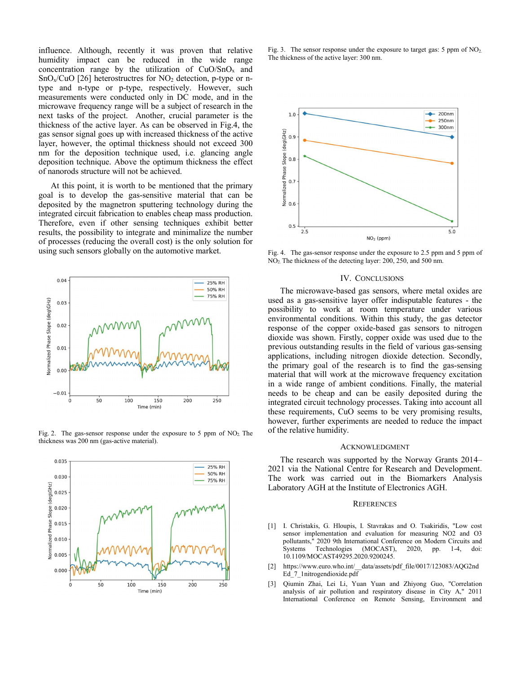influence. Although, recently it was proven that relative humidity impact can be reduced in the wide range concentration range by the utilization of  $CuO/SnO<sub>x</sub>$  and  $SnO_x/CuO$  [26] heterostructres for  $NO_2$  detection, p-type or ntype and n-type or p-type, respectively. However, such measurements were conducted only in DC mode, and in the microwave frequency range will be a subject of research in the next tasks of the project. Another, crucial parameter is the thickness of the active layer. As can be observed in Fig.4, the gas sensor signal goes up with increased thickness of the active layer, however, the optimal thickness should not exceed 300 nm for the deposition technique used, i.e. glancing angle deposition technique. Above the optimum thickness the effect of nanorods structure will not be achieved.

At this point, it is worth to be mentioned that the primary goal is to develop the gas-sensitive material that can be deposited by the magnetron sputtering technology during the integrated circuit fabrication to enables cheap mass production. Therefore, even if other sensing techniques exhibit better results, the possibility to integrate and minimalize the number of processes (reducing the overall cost) is the only solution for using such sensors globally on the automotive market.



Fig. 2. The gas-sensor response under the exposure to 5 ppm of  $NO<sub>2</sub>$ . The thickness was 200 nm (gas-active material).



Fig. 3. The sensor response under the exposure to target gas: 5 ppm of NO<sub>2.</sub> The thickness of the active layer: 300 nm.



Fig. 4. The gas-sensor response under the exposure to 2.5 ppm and 5 ppm of NO2. The thickness of the detecting layer: 200, 250, and 500 nm.

#### IV. CONCLUSIONS

The microwave-based gas sensors, where metal oxides are used as a gas-sensitive layer offer indisputable features - the possibility to work at room temperature under various environmental conditions. Within this study, the gas detector response of the copper oxide-based gas sensors to nitrogen dioxide was shown. Firstly, copper oxide was used due to the previous outstanding results in the field of various gas-sensing applications, including nitrogen dioxide detection. Secondly, the primary goal of the research is to find the gas-sensing material that will work at the microwave frequency excitation in a wide range of ambient conditions. Finally, the material needs to be cheap and can be easily deposited during the integrated circuit technology processes. Taking into account all these requirements, CuO seems to be very promising results, however, further experiments are needed to reduce the impact of the relative humidity.

#### ACKNOWLEDGMENT

The research was supported by the Norway Grants 2014– 2021 via the National Centre for Research and Development. The work was carried out in the Biomarkers Analysis Laboratory AGH at the Institute of Electronics AGH.

### **REFERENCES**

- [1] I. Christakis, G. Hloupis, I. Stavrakas and O. Tsakiridis, "Low cost sensor implementation and evaluation for measuring NO2 and O3 pollutants," 2020 9th International Conference on Modern Circuits and Systems Technologies (MOCAST), 2020, pp. 1-4, doi: 10.1109/MOCAST49295.2020.9200245.
- [2] https://www.euro.who.int/\_\_data/assets/pdf\_file/0017/123083/AQG2nd Ed\_7\_1nitrogendioxide.pdf
- [3] Qiumin Zhai, Lei Li, Yuan Yuan and Zhiyong Guo, "Correlation analysis of air pollution and respiratory disease in City A," 2011 International Conference on Remote Sensing, Environment and